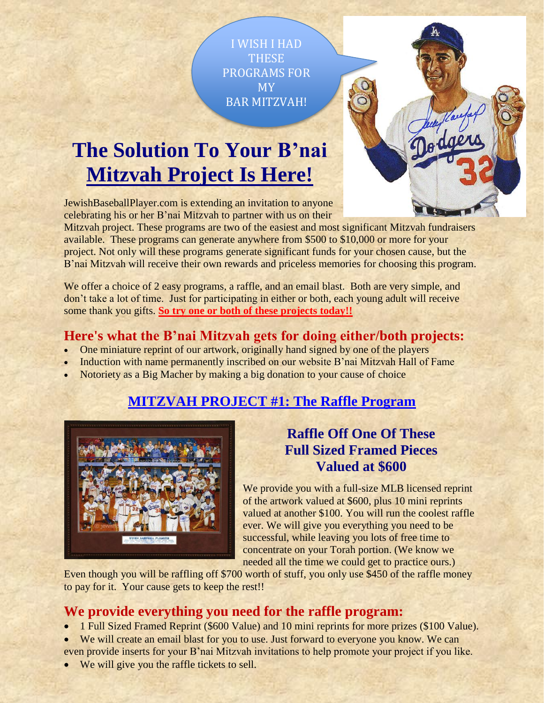I WISH I HAD **THESE** PROGRAMS FOR MY BAR MITZVAH!

# **The Solution To Your B'nai Mitzvah Project Is Here!**

JewishBaseballPlayer.com is extending an invitation to anyone celebrating his or her B'nai Mitzvah to partner with us on their

Mitzvah project. These programs are two of the easiest and most significant Mitzvah fundraisers available. These programs can generate anywhere from \$500 to \$10,000 or more for your project. Not only will these programs generate significant funds for your chosen cause, but the B'nai Mitzvah will receive their own rewards and priceless memories for choosing this program.

We offer a choice of 2 easy programs, a raffle, and an email blast. Both are very simple, and don't take a lot of time. Just for participating in either or both, each young adult will receive some thank you gifts. **So try one or both of these projects today!!**

## **Here's what the B'nai Mitzvah gets for doing either/both projects:**

- One miniature reprint of our artwork, originally hand signed by one of the players
- Induction with name permanently inscribed on our website B'nai Mitzvah Hall of Fame
- Notoriety as a Big Macher by making a big donation to your cause of choice

## **MITZVAH PROJECT #1: The Raffle Program**



## **Raffle Off One Of These Full Sized Framed Pieces Valued at \$600**

We provide you with a full-size MLB licensed reprint of the artwork valued at \$600, plus 10 mini reprints valued at another \$100. You will run the coolest raffle ever. We will give you everything you need to be successful, while leaving you lots of free time to concentrate on your Torah portion. (We know we needed all the time we could get to practice ours.)

Even though you will be raffling off \$700 worth of stuff, you only use \$450 of the raffle money to pay for it. Your cause gets to keep the rest!!

### **We provide everything you need for the raffle program:**

- 1 Full Sized Framed Reprint (\$600 Value) and 10 mini reprints for more prizes (\$100 Value).
- We will create an email blast for you to use. Just forward to everyone you know. We can even provide inserts for your B'nai Mitzvah invitations to help promote your project if you like.
- We will give you the raffle tickets to sell.